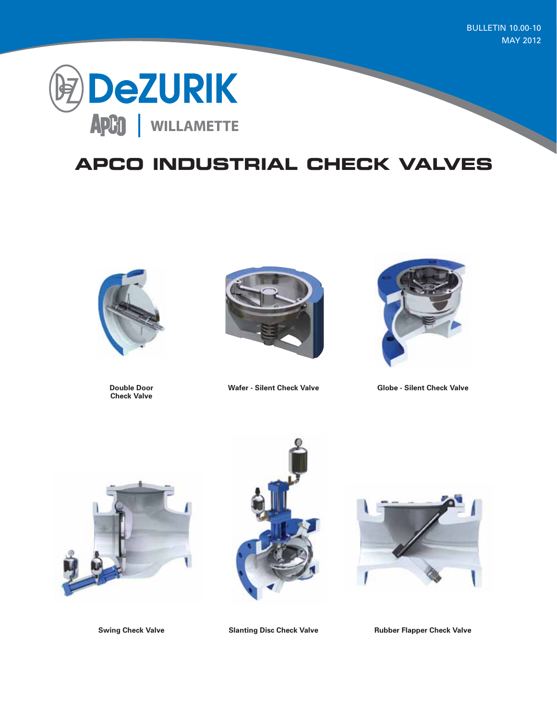BULLETIN 10.00-10 MAY 2012



## **APCO INDUSTRIAL CHECK VALVES**



**Check Valve**





**Double Door Wafer - Silent Check Valve Globe - Silent Check Valve**







**Swing Check Valve Slanting Disc Check Valve Rubber Flapper Check Valve**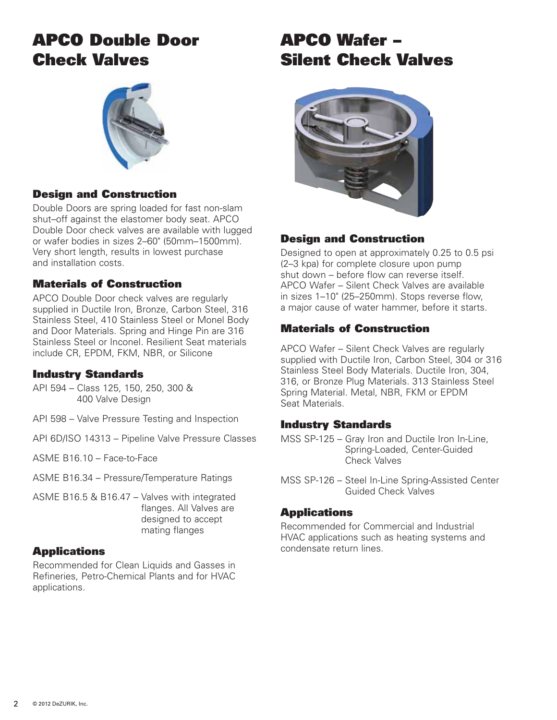## APCO Double Door Check Valves



### Design and Construction

Double Doors are spring loaded for fast non-slam shut–off against the elastomer body seat. APCO Double Door check valves are available with lugged or wafer bodies in sizes 2–60" (50mm–1500mm). Very short length, results in lowest purchase and installation costs.

### Materials of Construction

APCO Double Door check valves are regularly supplied in Ductile Iron, Bronze, Carbon Steel, 316 Stainless Steel, 410 Stainless Steel or Monel Body and Door Materials. Spring and Hinge Pin are 316 Stainless Steel or Inconel. Resilient Seat materials include CR, EPDM, FKM, NBR, or Silicone

#### Industry Standards

- API 594 Class 125, 150, 250, 300 & 400 Valve Design
- API 598 Valve Pressure Testing and Inspection
- API 6D/ISO 14313 Pipeline Valve Pressure Classes
- ASME B16.10 Face-to-Face
- ASME B16.34 Pressure/Temperature Ratings
- ASME B16.5 & B16.47 Valves with integrated flanges. All Valves are designed to accept mating flanges

### **Applications**

Recommended for Clean Liquids and Gasses in Refineries, Petro-Chemical Plants and for HVAC applications.

## APCO Wafer – Silent Check Valves



### Design and Construction

Designed to open at approximately 0.25 to 0.5 psi (2–3 kpa) for complete closure upon pump shut down – before flow can reverse itself. APCO Wafer – Silent Check Valves are available in sizes 1–10" (25–250mm). Stops reverse flow, a major cause of water hammer, before it starts.

### Materials of Construction

APCO Wafer – Silent Check Valves are regularly supplied with Ductile Iron, Carbon Steel, 304 or 316 Stainless Steel Body Materials. Ductile Iron, 304, 316, or Bronze Plug Materials. 313 Stainless Steel Spring Material. Metal, NBR, FKM or EPDM Seat Materials.

#### Industry Standards

- MSS SP-125 Gray Iron and Ductile Iron In-Line, Spring-Loaded, Center-Guided Check Valves
- MSS SP-126 Steel In-Line Spring-Assisted Center Guided Check Valves

#### **Applications**

Recommended for Commercial and Industrial HVAC applications such as heating systems and condensate return lines.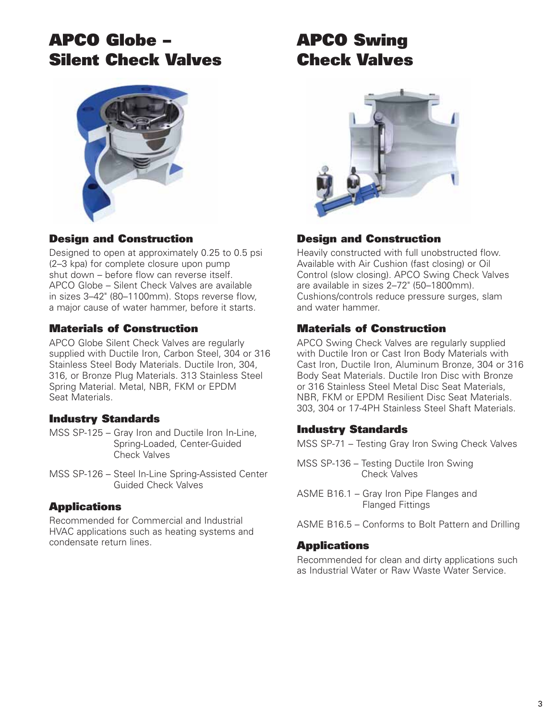## APCO Globe – Silent Check Valves



## Design and Construction

Designed to open at approximately 0.25 to 0.5 psi (2–3 kpa) for complete closure upon pump shut down – before flow can reverse itself. APCO Globe – Silent Check Valves are available in sizes 3–42" (80–1100mm). Stops reverse flow, a major cause of water hammer, before it starts.

### Materials of Construction

APCO Globe Silent Check Valves are regularly supplied with Ductile Iron, Carbon Steel, 304 or 316 Stainless Steel Body Materials. Ductile Iron, 304, 316, or Bronze Plug Materials. 313 Stainless Steel Spring Material. Metal, NBR, FKM or EPDM Seat Materials.

### Industry Standards

- MSS SP-125 Gray Iron and Ductile Iron In-Line, Spring-Loaded, Center-Guided Check Valves
- MSS SP-126 Steel In-Line Spring-Assisted Center Guided Check Valves

### **Applications**

Recommended for Commercial and Industrial HVAC applications such as heating systems and condensate return lines.

# APCO Swing Check Valves



## Design and Construction

Heavily constructed with full unobstructed flow. Available with Air Cushion (fast closing) or Oil Control (slow closing). APCO Swing Check Valves are available in sizes 2–72" (50–1800mm). Cushions/controls reduce pressure surges, slam and water hammer.

### Materials of Construction

APCO Swing Check Valves are regularly supplied with Ductile Iron or Cast Iron Body Materials with Cast Iron, Ductile Iron, Aluminum Bronze, 304 or 316 Body Seat Materials. Ductile Iron Disc with Bronze or 316 Stainless Steel Metal Disc Seat Materials, NBR, FKM or EPDM Resilient Disc Seat Materials. 303, 304 or 17-4PH Stainless Steel Shaft Materials.

### Industry Standards

MSS SP-71 – Testing Gray Iron Swing Check Valves

- MSS SP-136 Testing Ductile Iron Swing Check Valves
- ASME B16.1 Gray Iron Pipe Flanges and Flanged Fittings
- ASME B16.5 Conforms to Bolt Pattern and Drilling

#### **Applications**

Recommended for clean and dirty applications such as Industrial Water or Raw Waste Water Service.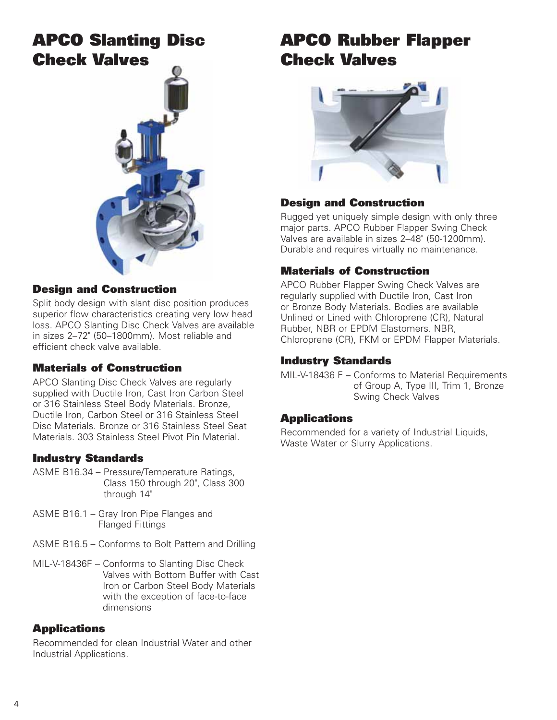## APCO Slanting Disc Check Valves



#### Design and Construction

Split body design with slant disc position produces superior flow characteristics creating very low head loss. APCO Slanting Disc Check Valves are available in sizes 2–72" (50–1800mm). Most reliable and efficient check valve available.

#### Materials of Construction

APCO Slanting Disc Check Valves are regularly supplied with Ductile Iron, Cast Iron Carbon Steel or 316 Stainless Steel Body Materials. Bronze, Ductile Iron, Carbon Steel or 316 Stainless Steel Disc Materials. Bronze or 316 Stainless Steel Seat Materials. 303 Stainless Steel Pivot Pin Material.

### Industry Standards

- ASME B16.34 Pressure/Temperature Ratings, Class 150 through 20", Class 300 through 14"
- ASME B16.1 Gray Iron Pipe Flanges and Flanged Fittings
- ASME B16.5 Conforms to Bolt Pattern and Drilling
- MIL-V-18436F Conforms to Slanting Disc Check Valves with Bottom Buffer with Cast Iron or Carbon Steel Body Materials with the exception of face-to-face dimensions

#### **Applications**

Recommended for clean Industrial Water and other Industrial Applications.

# APCO Rubber Flapper Check Valves



### Design and Construction

Rugged yet uniquely simple design with only three major parts. APCO Rubber Flapper Swing Check Valves are available in sizes 2–48" (50-1200mm). Durable and requires virtually no maintenance.

### Materials of Construction

APCO Rubber Flapper Swing Check Valves are regularly supplied with Ductile Iron, Cast Iron or Bronze Body Materials. Bodies are available Unlined or Lined with Chloroprene (CR), Natural Rubber, NBR or EPDM Elastomers. NBR, Chloroprene (CR), FKM or EPDM Flapper Materials.

#### Industry Standards

MIL-V-18436 F – Conforms to Material Requirements of Group A, Type III, Trim 1, Bronze Swing Check Valves

#### **Applications**

Recommended for a variety of Industrial Liquids, Waste Water or Slurry Applications.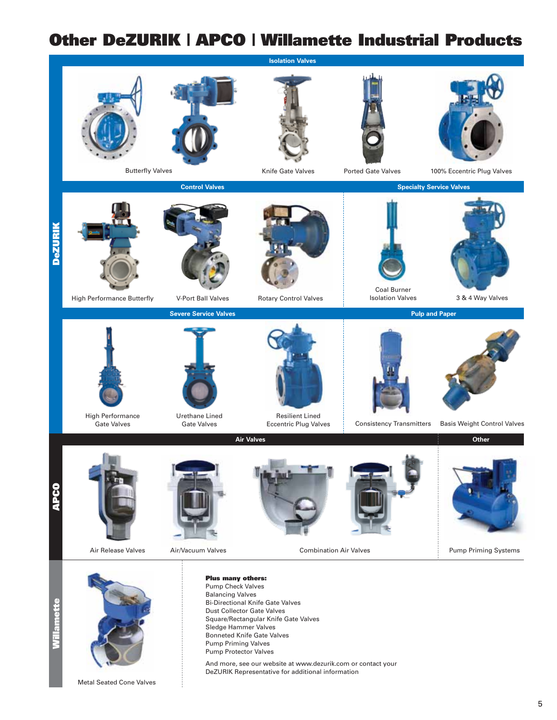## Other DeZURIK | APCO | Willamette Industrial Products



Metal Seated Cone Valves

5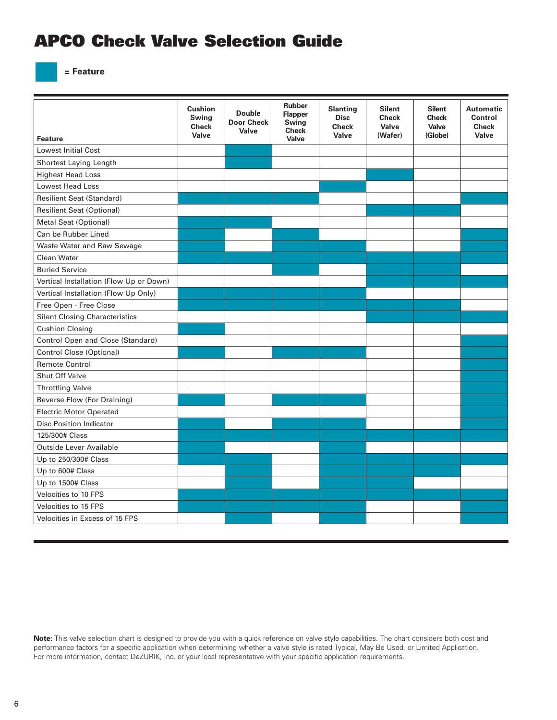## APCO Check Valve Selection Guide

**= Feature**

| <b>Feature</b>                          | <b>Cushion</b><br>Swing<br><b>Check</b><br>Valve | <b>Double</b><br><b>Door Check</b><br>Valve | <b>Rubber</b><br><b>Flapper</b><br><b>Swing</b><br><b>Check</b><br>Valve | <b>Slanting</b><br><b>Disc</b><br><b>Check</b><br>Valve | <b>Silent</b><br><b>Check</b><br>Valve<br>(Wafer) | <b>Silent</b><br><b>Check</b><br><b>Valve</b><br>(Globe) | <b>Automatic</b><br>Control<br><b>Check</b><br>Valve |
|-----------------------------------------|--------------------------------------------------|---------------------------------------------|--------------------------------------------------------------------------|---------------------------------------------------------|---------------------------------------------------|----------------------------------------------------------|------------------------------------------------------|
| <b>Lowest Initial Cost</b>              |                                                  |                                             |                                                                          |                                                         |                                                   |                                                          |                                                      |
| Shortest Laying Length                  |                                                  |                                             |                                                                          |                                                         |                                                   |                                                          |                                                      |
| <b>Highest Head Loss</b>                |                                                  |                                             |                                                                          |                                                         |                                                   |                                                          |                                                      |
| <b>Lowest Head Loss</b>                 |                                                  |                                             |                                                                          |                                                         |                                                   |                                                          |                                                      |
| <b>Resilient Seat (Standard)</b>        |                                                  |                                             |                                                                          |                                                         |                                                   |                                                          |                                                      |
| <b>Resilient Seat (Optional)</b>        |                                                  |                                             |                                                                          |                                                         |                                                   |                                                          |                                                      |
| <b>Metal Seat (Optional)</b>            |                                                  |                                             |                                                                          |                                                         |                                                   |                                                          |                                                      |
| Can be Rubber Lined                     |                                                  |                                             |                                                                          |                                                         |                                                   |                                                          |                                                      |
| Waste Water and Raw Sewage              |                                                  |                                             |                                                                          |                                                         |                                                   |                                                          |                                                      |
| <b>Clean Water</b>                      |                                                  |                                             |                                                                          |                                                         |                                                   |                                                          |                                                      |
| <b>Buried Service</b>                   |                                                  |                                             |                                                                          |                                                         |                                                   |                                                          |                                                      |
| Vertical Installation (Flow Up or Down) |                                                  |                                             |                                                                          |                                                         |                                                   |                                                          |                                                      |
| Vertical Installation (Flow Up Only)    |                                                  |                                             |                                                                          |                                                         |                                                   |                                                          |                                                      |
| Free Open - Free Close                  |                                                  |                                             |                                                                          |                                                         |                                                   |                                                          |                                                      |
| <b>Silent Closing Characteristics</b>   |                                                  |                                             |                                                                          |                                                         |                                                   |                                                          |                                                      |
| <b>Cushion Closing</b>                  |                                                  |                                             |                                                                          |                                                         |                                                   |                                                          |                                                      |
| Control Open and Close (Standard)       |                                                  |                                             |                                                                          |                                                         |                                                   |                                                          |                                                      |
| Control Close (Optional)                |                                                  |                                             |                                                                          |                                                         |                                                   |                                                          |                                                      |
| <b>Remote Control</b>                   |                                                  |                                             |                                                                          |                                                         |                                                   |                                                          |                                                      |
| <b>Shut Off Valve</b>                   |                                                  |                                             |                                                                          |                                                         |                                                   |                                                          |                                                      |
| <b>Throttling Valve</b>                 |                                                  |                                             |                                                                          |                                                         |                                                   |                                                          |                                                      |
| Reverse Flow (For Draining)             |                                                  |                                             |                                                                          |                                                         |                                                   |                                                          |                                                      |
| <b>Electric Motor Operated</b>          |                                                  |                                             |                                                                          |                                                         |                                                   |                                                          |                                                      |
| <b>Disc Position Indicator</b>          |                                                  |                                             |                                                                          |                                                         |                                                   |                                                          |                                                      |
| 125/300# Class                          |                                                  |                                             |                                                                          |                                                         |                                                   |                                                          |                                                      |
| Outside Lever Available                 |                                                  |                                             |                                                                          |                                                         |                                                   |                                                          |                                                      |
| Up to 250/300# Class                    |                                                  |                                             |                                                                          |                                                         |                                                   |                                                          |                                                      |
| Up to 600# Class                        |                                                  |                                             |                                                                          |                                                         |                                                   |                                                          |                                                      |
| Up to 1500# Class                       |                                                  |                                             |                                                                          |                                                         |                                                   |                                                          |                                                      |
| Velocities to 10 FPS                    |                                                  |                                             |                                                                          |                                                         |                                                   |                                                          |                                                      |
| Velocities to 15 FPS                    |                                                  |                                             |                                                                          |                                                         |                                                   |                                                          |                                                      |
| Velocities in Excess of 15 FPS          |                                                  |                                             |                                                                          |                                                         |                                                   |                                                          |                                                      |

**Note:** This valve selection chart is designed to provide you with a quick reference on valve style capabilities. The chart considers both cost and performance factors for a specific application when determining whether a valve style is rated Typical, May Be Used, or Limited Application. For more information, contact DeZURIK, Inc. or your local representative with your specific application requirements.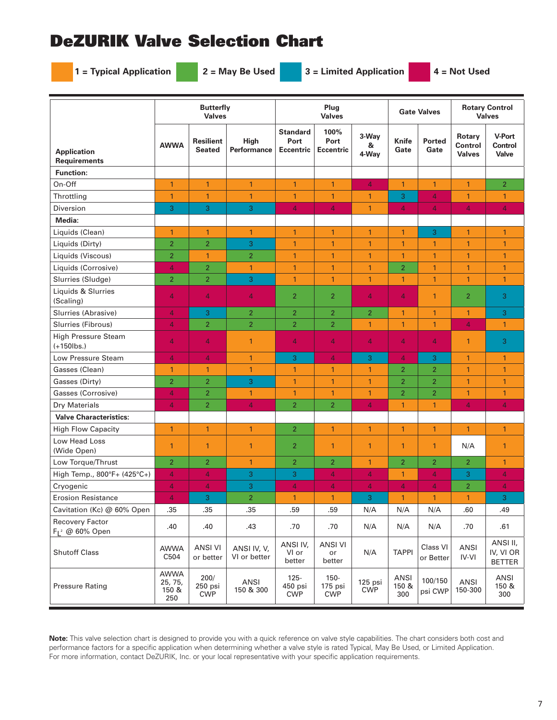## DeZURIK Valve Selection Chart

**1 = Typical Application 2 = May Be Used 3 = Limited Application 4 = Not Used**

|                                             | <b>Butterfly</b><br><b>Valves</b>      |                                   |                             |                                             | Plug<br><b>Valves</b>            |                       | <b>Gate Valves</b>          |                       | <b>Rotary Control</b><br><b>Valves</b> |                                          |
|---------------------------------------------|----------------------------------------|-----------------------------------|-----------------------------|---------------------------------------------|----------------------------------|-----------------------|-----------------------------|-----------------------|----------------------------------------|------------------------------------------|
| <b>Application</b><br><b>Requirements</b>   | <b>AWWA</b>                            | <b>Resilient</b><br><b>Seated</b> | <b>High</b><br>Performance  | <b>Standard</b><br>Port<br><b>Eccentric</b> | 100%<br>Port<br><b>Eccentric</b> | 3-Way<br>&<br>4-Way   | Knife<br>Gate               | <b>Ported</b><br>Gate | Rotary<br>Control<br><b>Valves</b>     | <b>V-Port</b><br><b>Control</b><br>Valve |
| <b>Function:</b>                            |                                        |                                   |                             |                                             |                                  |                       |                             |                       |                                        |                                          |
| On-Off                                      | $\mathbf{1}$                           | $\mathbf{1}$                      | $\mathbf{1}$                | $\mathbf{1}$                                | $\mathbf{1}$                     | $\overline{4}$        | $\mathbf{1}$                | $\mathbf{1}$          | $\mathbf{1}$                           | $\overline{2}$                           |
| Throttling                                  | $\mathbf{1}$                           | $\mathbf{1}$                      | $\mathbf{1}$                | $\mathbf{1}$                                | $\mathbf{1}$                     | 1                     | 3                           | $\overline{4}$        | $\mathbf{1}$                           | $\mathbf{1}$                             |
| Diversion                                   | 3                                      | 3                                 | 3                           | $\overline{4}$                              | $\overline{4}$                   | $\mathbf{1}$          | $\overline{4}$              | $\overline{4}$        | 4                                      | $\overline{4}$                           |
| Media:                                      |                                        |                                   |                             |                                             |                                  |                       |                             |                       |                                        |                                          |
| Liquids (Clean)                             | $\mathbf{1}$                           | $\mathbf{1}$                      | $\mathbf{1}$                | $\mathbf{1}$                                | $\mathbf{1}$                     | $\mathbf{1}$          | $\mathbf{1}$                | 3                     | $\mathbf{1}$                           | $\mathbf{1}$                             |
| Liquids (Dirty)                             | $\overline{2}$                         | $\overline{2}$                    | 3                           | $\mathbf{1}$                                | $\mathbf{1}$                     | $\overline{1}$        | $\mathbf{1}$                | $\mathbf{1}$          | $\mathbf{1}$                           | $\mathbf{1}$                             |
| Liquids (Viscous)                           | $\overline{2}$                         | $\mathbf{1}$                      | $\overline{2}$              | $\mathbf{1}$                                | $\mathbf{1}$                     | $\mathbf{1}$          | $\mathbf{1}$                | $\mathbf{1}$          | $\mathbf{1}$                           | $\mathbf{1}$                             |
| Liquids (Corrosive)                         | $\overline{4}$                         | $\overline{2}$                    | 1                           | $\mathbf{1}$                                | $\mathbf{1}$                     | $\mathbf{1}$          | $\overline{2}$              | $\mathbf{1}$          | $\mathbf{1}$                           | $\mathbf{1}$                             |
| Slurries (Sludge)                           | $\overline{2}$                         | $\overline{2}$                    | 3                           | $\mathbf{1}$                                | $\mathbf{1}$                     | $\mathbf{1}$          | $\mathbf{1}$                | $\mathbf{1}$          | $\mathbf{1}$                           | $\mathbf{1}$                             |
| Liquids & Slurries<br>(Scaling)             | 4                                      | $\overline{4}$                    | $\overline{4}$              | $\overline{2}$                              | $\overline{2}$                   | 4                     | $\overline{4}$              | $\mathbf{1}$          | $\overline{2}$                         | 3                                        |
| Slurries (Abrasive)                         | 4                                      | 3                                 | $\overline{2}$              | $\overline{2}$                              | $\overline{2}$                   | $\overline{2}$        | $\mathbf{1}$                | $\mathbf{1}$          | $\mathbf{1}$                           | 3                                        |
| Slurries (Fibrous)                          | 4                                      | $\overline{2}$                    | $\overline{2}$              | $\overline{2}$                              | $\overline{2}$                   | 1                     | $\mathbf{1}$                | $\mathbf{1}$          | $\overline{4}$                         | $\mathbf{1}$                             |
| <b>High Pressure Steam</b><br>$(+150$ lbs.) | 4                                      | $\overline{4}$                    | $\mathbf{1}$                | $\overline{4}$                              | $\overline{4}$                   | $\overline{4}$        | 4                           | 4                     | $\mathbf{1}$                           | 3                                        |
| Low Pressure Steam                          | $\overline{4}$                         | $\overline{4}$                    | $\mathbf{1}$                | 3                                           | $\overline{4}$                   | 3                     | $\overline{4}$              | 3                     | $\mathbf{1}$                           | $\mathbf{1}$                             |
| Gasses (Clean)                              | 1                                      | $\mathbf{1}$                      | $\mathbf{1}$                | $\mathbf{1}$                                | 1                                | 1                     | $\overline{2}$              | $\overline{2}$        | $\mathbf{1}$                           | $\mathbf{1}$                             |
| Gasses (Dirty)                              | $\overline{2}$                         | $\overline{2}$                    | 3                           | $\mathbf{1}$                                | $\mathbf{1}$                     | $\mathbf{1}$          | $\overline{2}$              | $\overline{2}$        | $\mathbf{1}$                           | $\mathbf{1}$                             |
| Gasses (Corrosive)                          | 4                                      | $\overline{2}$                    | 1                           | $\mathbf{1}$                                | $\mathbf{1}$                     | $\mathbf{1}$          | $\overline{2}$              | $\overline{2}$        | $\mathbf{1}$                           | $\mathbf{1}$                             |
| Dry Materials                               | 4                                      | $\overline{2}$                    | 4                           | $\overline{2}$                              | $\overline{2}$                   | 4                     | $\mathbf{1}$                | $\mathbf{1}$          | 4                                      | $\overline{4}$                           |
| <b>Valve Characteristics:</b>               |                                        |                                   |                             |                                             |                                  |                       |                             |                       |                                        |                                          |
| <b>High Flow Capacity</b>                   | $\mathbf{1}$                           | $\overline{1}$                    | $\mathbf{1}$                | $\overline{2}$                              | $\mathbf{1}$                     | $\mathbf{1}$          | $\mathbf{1}$                | $\mathbf{1}$          | $\mathbf{1}$                           | $\mathbf{1}$                             |
| Low Head Loss<br>(Wide Open)                | 1                                      | $\overline{1}$                    | $\mathbf{1}$                | $\overline{2}$                              | 1                                | $\mathbf{1}$          | $\mathbf{1}$                | $\mathbf{1}$          | N/A                                    | $\mathbf{1}$                             |
| Low Torque/Thrust                           | $\overline{2}$                         | $\overline{2}$                    | $\mathbf{1}$                | $\overline{2}$                              | $\overline{2}$                   | $\mathbf{1}$          | $\overline{2}$              | $\overline{2}$        | $\overline{2}$                         | $\mathbf{1}$                             |
| High Temp., 800°F+ (425°C+)                 | 4                                      | 4                                 | 3                           | 3                                           | $\overline{4}$                   | 4                     | $\mathbf{1}$                | 4                     | 3                                      | $\overline{4}$                           |
| Cryogenic                                   | 4                                      | 4                                 | 3                           | $\overline{4}$                              | $\overline{4}$                   | $\overline{4}$        | $\overline{4}$              | 4                     | $\overline{2}$                         | $\overline{4}$                           |
| <b>Erosion Resistance</b>                   | 4                                      | 3                                 | $\overline{2}$              | $\mathbf{1}$                                | $\mathbf{1}$                     | 3                     | $\mathbf{1}$                | $\mathbf{1}$          | $\overline{1}$                         | 3                                        |
| Cavitation (Kc) @ 60% Open                  | .35                                    | .35                               | .35                         | .59                                         | .59                              | N/A                   | N/A                         | N/A                   | .60                                    | .49                                      |
| Recovery Factor<br>$F_1^2$ @ 60% Open       | .40                                    | .40                               | .43                         | .70                                         | .70                              | N/A                   | N/A                         | N/A                   | .70                                    | .61                                      |
| <b>Shutoff Class</b>                        | <b>AWWA</b><br>C504                    | <b>ANSI VI</b><br>or better       | ANSI IV, V,<br>VI or better | ANSI IV,<br>VI or<br>better                 | <b>ANSI VI</b><br>or<br>better   | N/A                   | <b>TAPPI</b>                | Class VI<br>or Better | ANSI<br>IV-VI                          | ANSI II,<br>IV, VI OR<br><b>BETTER</b>   |
| <b>Pressure Rating</b>                      | <b>AWWA</b><br>25, 75,<br>150 &<br>250 | 200/<br>250 psi<br><b>CWP</b>     | ANSI<br>150 & 300           | $125 -$<br>450 psi<br><b>CWP</b>            | $150 -$<br>175 psi<br><b>CWP</b> | 125 psi<br><b>CWP</b> | <b>ANSI</b><br>150 &<br>300 | 100/150<br>psi CWP    | ANSI<br>150-300                        | ANSI<br>150 &<br>300                     |

**Note:** This valve selection chart is designed to provide you with a quick reference on valve style capabilities. The chart considers both cost and performance factors for a specific application when determining whether a valve style is rated Typical, May Be Used, or Limited Application. For more information, contact DeZURIK, Inc. or your local representative with your specific application requirements.